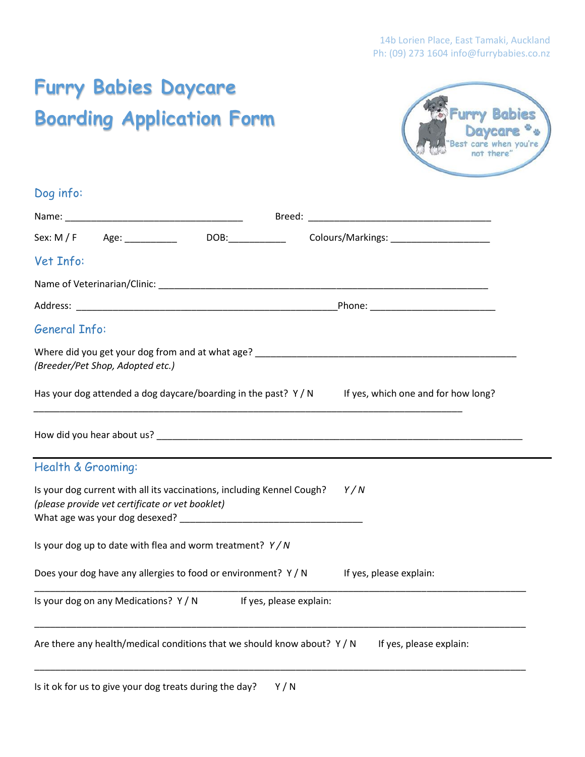# **Furry Babies Daycare Boarding Application Form**



## Dog info:

| Colours/Markings: ________________________                                                                                |  |                                     |  |
|---------------------------------------------------------------------------------------------------------------------------|--|-------------------------------------|--|
| Vet Info:                                                                                                                 |  |                                     |  |
|                                                                                                                           |  |                                     |  |
|                                                                                                                           |  |                                     |  |
| <b>General Info:</b>                                                                                                      |  |                                     |  |
| (Breeder/Pet Shop, Adopted etc.)                                                                                          |  |                                     |  |
| Has your dog attended a dog daycare/boarding in the past? $Y/N$                                                           |  | If yes, which one and for how long? |  |
| Health & Grooming:                                                                                                        |  |                                     |  |
|                                                                                                                           |  |                                     |  |
| Is your dog current with all its vaccinations, including Kennel Cough?<br>(please provide vet certificate or vet booklet) |  | Y/N                                 |  |
| Is your dog up to date with flea and worm treatment? $Y/N$                                                                |  |                                     |  |
| Does your dog have any allergies to food or environment? Y / N If yes, please explain:                                    |  |                                     |  |
| Is your dog on any Medications? Y/N If yes, please explain:                                                               |  |                                     |  |
|                                                                                                                           |  |                                     |  |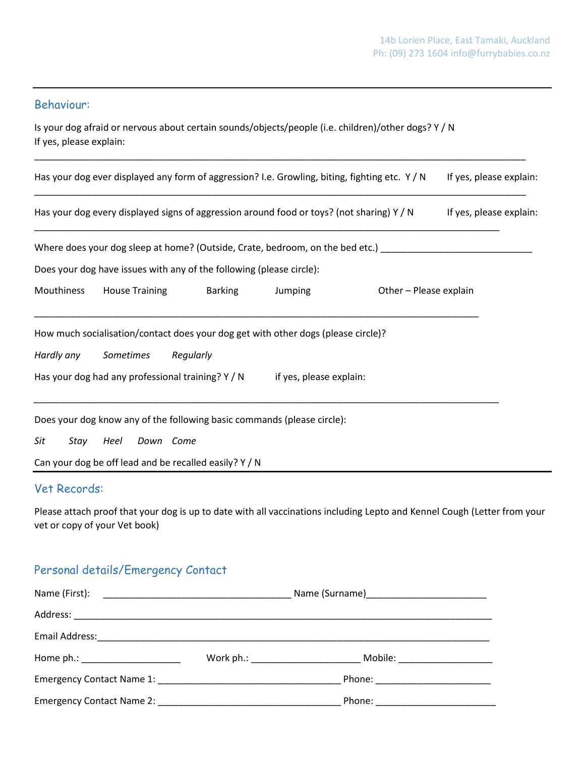### Behaviour:

Is your dog afraid or nervous about certain sounds/objects/people (i.e. children)/other dogs? Y / N If yes, please explain:

\_\_\_\_\_\_\_\_\_\_\_\_\_\_\_\_\_\_\_\_\_\_\_\_\_\_\_\_\_\_\_\_\_\_\_\_\_\_\_\_\_\_\_\_\_\_\_\_\_\_\_\_\_\_\_\_\_\_\_\_\_\_\_\_\_\_\_\_\_\_\_\_\_\_\_\_\_\_\_\_\_\_\_\_\_\_\_\_\_\_\_\_\_\_

| Has your dog ever displayed any form of aggression? I.e. Growling, biting, fighting etc. Y/N<br>If yes, please explain: |                       |                                                                                           |                         |                                                                                                     |                         |
|-------------------------------------------------------------------------------------------------------------------------|-----------------------|-------------------------------------------------------------------------------------------|-------------------------|-----------------------------------------------------------------------------------------------------|-------------------------|
|                                                                                                                         |                       | Has your dog every displayed signs of aggression around food or toys? (not sharing) $Y/N$ |                         |                                                                                                     | If yes, please explain: |
|                                                                                                                         |                       |                                                                                           |                         | Where does your dog sleep at home? (Outside, Crate, bedroom, on the bed etc.) _____________________ |                         |
|                                                                                                                         |                       | Does your dog have issues with any of the following (please circle):                      |                         |                                                                                                     |                         |
| Mouthiness                                                                                                              | <b>House Training</b> | <b>Barking</b>                                                                            | Jumping                 | Other - Please explain                                                                              |                         |
|                                                                                                                         |                       | How much socialisation/contact does your dog get with other dogs (please circle)?         |                         |                                                                                                     |                         |
| Hardly any                                                                                                              | Sometimes             | Regularly                                                                                 |                         |                                                                                                     |                         |
|                                                                                                                         |                       | Has your dog had any professional training? Y / N                                         | if yes, please explain: |                                                                                                     |                         |
|                                                                                                                         |                       | Does your dog know any of the following basic commands (please circle):                   |                         |                                                                                                     |                         |
| Sit<br>Stay                                                                                                             | Heel<br>Down Come     |                                                                                           |                         |                                                                                                     |                         |
|                                                                                                                         |                       | Can your dog be off lead and be recalled easily? Y / N                                    |                         |                                                                                                     |                         |
| Vet Records:                                                                                                            |                       |                                                                                           |                         |                                                                                                     |                         |

Please attach proof that your dog is up to date with all vaccinations including Lepto and Kennel Cough (Letter from your vet or copy of your Vet book)

## Personal details/Emergency Contact

|                                                                                                               | Name (First): 2008 - 2009 - 2010 - 2010 - 2010 - 2010 - 2010 - 2010 - 2010 - 2010 - 2010 - 2010 - 2010 - 2010 |                                   |  |
|---------------------------------------------------------------------------------------------------------------|---------------------------------------------------------------------------------------------------------------|-----------------------------------|--|
|                                                                                                               |                                                                                                               |                                   |  |
| Email Address: 2008. 2009. 2010. 2010. 2010. 2010. 2010. 2010. 2010. 2010. 2010. 2010. 2010. 2010. 2010. 2010 |                                                                                                               |                                   |  |
| Home ph.: ________________________                                                                            |                                                                                                               |                                   |  |
|                                                                                                               |                                                                                                               |                                   |  |
|                                                                                                               |                                                                                                               | Phone: __________________________ |  |